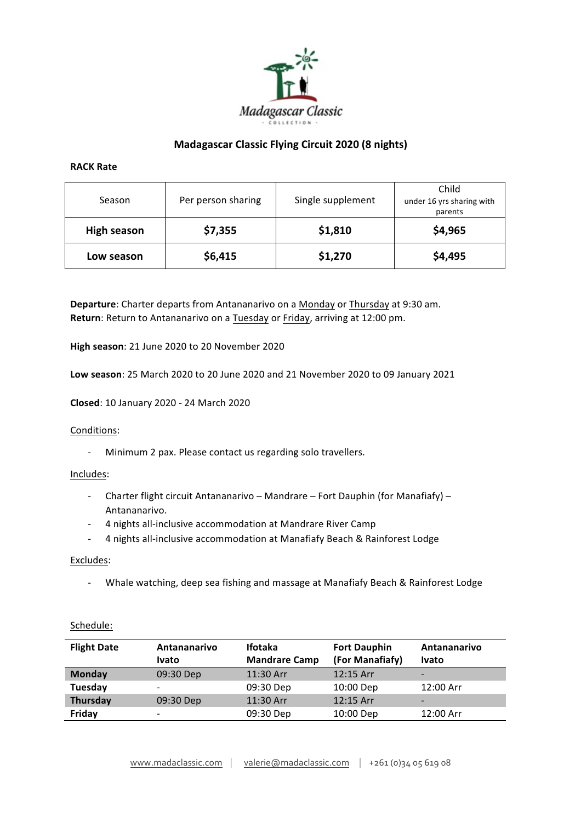

# **Madagascar Classic Flying Circuit 2020 (8 nights)**

### **RACK Rate**

| Season             | Per person sharing | Single supplement | Child<br>under 16 yrs sharing with<br>parents |
|--------------------|--------------------|-------------------|-----------------------------------------------|
| <b>High season</b> | \$7,355            | \$1,810           | \$4,965                                       |
| Low season         | \$6,415            | \$1,270           | \$4,495                                       |

**Departure**: Charter departs from Antananarivo on a Monday or Thursday at 9:30 am. **Return**: Return to Antananarivo on a Tuesday or Friday, arriving at 12:00 pm.

High season: 21 June 2020 to 20 November 2020

**Low season**: 25 March 2020 to 20 June 2020 and 21 November 2020 to 09 January 2021

**Closed**: 10 January 2020 - 24 March 2020

## Conditions:

- Minimum 2 pax. Please contact us regarding solo travellers.

## Includes:

- Charter flight circuit Antananarivo Mandrare Fort Dauphin (for Manafiafy) Antananarivo.
- 4 nights all-inclusive accommodation at Mandrare River Camp
- 4 nights all-inclusive accommodation at Manafiafy Beach & Rainforest Lodge

## Excludes:

- Whale watching, deep sea fishing and massage at Manafiafy Beach & Rainforest Lodge

| <b>Flight Date</b> | Antananarivo<br>Ivato    | <b>Ifotaka</b><br><b>Mandrare Camp</b> | <b>Fort Dauphin</b><br>(For Manafiafy) | Antananarivo<br><b>Ivato</b> |
|--------------------|--------------------------|----------------------------------------|----------------------------------------|------------------------------|
| <b>Monday</b>      | 09:30 Dep                | 11:30 Arr                              | $12:15$ Arr                            | $\overline{\phantom{0}}$     |
| Tuesday            | $\overline{\phantom{0}}$ | 09:30 Dep                              | 10:00 Dep                              | 12:00 Arr                    |
| Thursday           | 09:30 Dep                | 11:30 Arr                              | 12:15 Arr                              | $\overline{\phantom{0}}$     |
| Friday             | $\overline{\phantom{0}}$ | 09:30 Dep                              | 10:00 Dep                              | 12:00 Arr                    |

# Schedule: